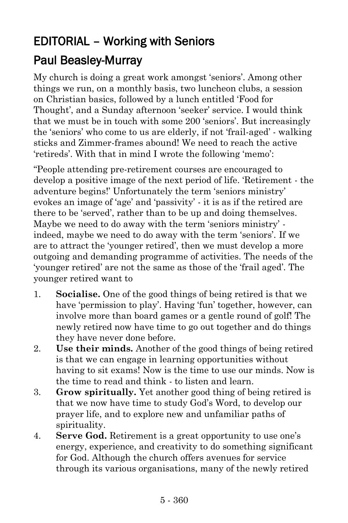## EDITORIAL – Working with Seniors

## Paul Beasley-Murray

My church is doing a great work amongst 'seniors'. Among other things we run, on a monthly basis, two luncheon clubs, a session on Christian basics, followed by a lunch entitled 'Food for Thought', and a Sunday afternoon 'seeker' service. I would think that we must be in touch with some 200 'seniors'. But increasingly the 'seniors' who come to us are elderly, if not 'frail-aged' - walking sticks and Zimmer-frames abound! We need to reach the active 'retireds'. With that in mind I wrote the following 'memo':

"People attending pre-retirement courses are encouraged to develop a positive image of the next period of life. 'Retirement - the adventure begins!' Unfortunately the term 'seniors ministry' evokes an image of 'age' and 'passivity' - it is as if the retired are there to be 'served', rather than to be up and doing themselves. Maybe we need to do away with the term 'seniors ministry' indeed, maybe we need to do away with the term 'seniors'. If we are to attract the 'younger retired', then we must develop a more outgoing and demanding programme of activities. The needs of the 'younger retired' are not the same as those of the 'frail aged'. The younger retired want to

- 1. **Socialise.** One of the good things of being retired is that we have 'permission to play'. Having 'fun' together, however, can involve more than board games or a gentle round of golf! The newly retired now have time to go out together and do things they have never done before.
- 2. **Use their minds.** Another of the good things of being retired is that we can engage in learning opportunities without having to sit exams! Now is the time to use our minds. Now is the time to read and think - to listen and learn.
- 3. **Grow spiritually.** Yet another good thing of being retired is that we now have time to study God's Word, to develop our prayer life, and to explore new and unfamiliar paths of spirituality.
- 4. **Serve God.** Retirement is a great opportunity to use one's energy, experience, and creativity to do something significant for God. Although the church offers avenues for service through its various organisations, many of the newly retired